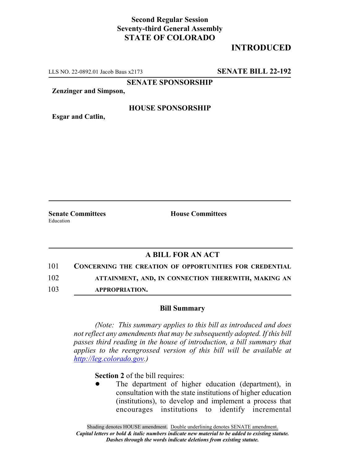## **Second Regular Session Seventy-third General Assembly STATE OF COLORADO**

## **INTRODUCED**

LLS NO. 22-0892.01 Jacob Baus x2173 **SENATE BILL 22-192**

**SENATE SPONSORSHIP**

**Zenzinger and Simpson,**

#### **HOUSE SPONSORSHIP**

**Esgar and Catlin,**

**Senate Committees House Committees** Education

### **A BILL FOR AN ACT**

101 **CONCERNING THE CREATION OF OPPORTUNITIES FOR CREDENTIAL**

102 **ATTAINMENT, AND, IN CONNECTION THEREWITH, MAKING AN**

103 **APPROPRIATION.**

#### **Bill Summary**

*(Note: This summary applies to this bill as introduced and does not reflect any amendments that may be subsequently adopted. If this bill passes third reading in the house of introduction, a bill summary that applies to the reengrossed version of this bill will be available at http://leg.colorado.gov.)*

**Section 2** of the bill requires:

The department of higher education (department), in consultation with the state institutions of higher education (institutions), to develop and implement a process that encourages institutions to identify incremental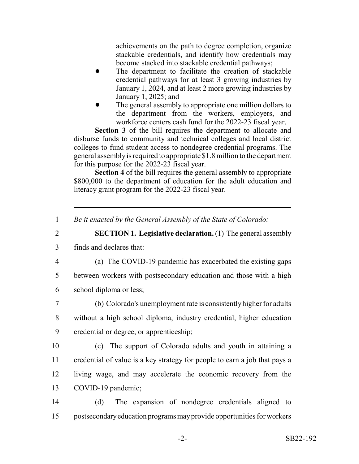achievements on the path to degree completion, organize stackable credentials, and identify how credentials may become stacked into stackable credential pathways;

- The department to facilitate the creation of stackable credential pathways for at least 3 growing industries by January 1, 2024, and at least 2 more growing industries by January 1, 2025; and
- The general assembly to appropriate one million dollars to the department from the workers, employers, and workforce centers cash fund for the 2022-23 fiscal year.

**Section 3** of the bill requires the department to allocate and disburse funds to community and technical colleges and local district colleges to fund student access to nondegree credential programs. The general assembly is required to appropriate \$1.8 million to the department for this purpose for the 2022-23 fiscal year.

**Section 4** of the bill requires the general assembly to appropriate \$800,000 to the department of education for the adult education and literacy grant program for the 2022-23 fiscal year.

# 2 **SECTION 1. Legislative declaration.** (1) The general assembly

- 3 finds and declares that:
- 

4 (a) The COVID-19 pandemic has exacerbated the existing gaps

5 between workers with postsecondary education and those with a high

6 school diploma or less;

7 (b) Colorado's unemployment rate is consistently higher for adults 8 without a high school diploma, industry credential, higher education 9 credential or degree, or apprenticeship;

- 10 (c) The support of Colorado adults and youth in attaining a 11 credential of value is a key strategy for people to earn a job that pays a 12 living wage, and may accelerate the economic recovery from the 13 COVID-19 pandemic;
- 14 (d) The expansion of nondegree credentials aligned to 15 postsecondary education programs may provide opportunities for workers

<sup>1</sup> *Be it enacted by the General Assembly of the State of Colorado:*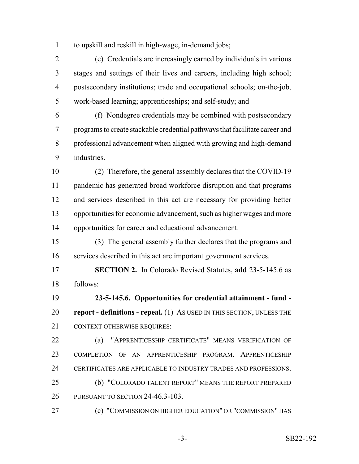to upskill and reskill in high-wage, in-demand jobs;

 (e) Credentials are increasingly earned by individuals in various stages and settings of their lives and careers, including high school; postsecondary institutions; trade and occupational schools; on-the-job, work-based learning; apprenticeships; and self-study; and

 (f) Nondegree credentials may be combined with postsecondary programs to create stackable credential pathways that facilitate career and professional advancement when aligned with growing and high-demand industries.

 (2) Therefore, the general assembly declares that the COVID-19 pandemic has generated broad workforce disruption and that programs and services described in this act are necessary for providing better opportunities for economic advancement, such as higher wages and more opportunities for career and educational advancement.

 (3) The general assembly further declares that the programs and services described in this act are important government services.

 **SECTION 2.** In Colorado Revised Statutes, **add** 23-5-145.6 as follows:

 **23-5-145.6. Opportunities for credential attainment - fund - report - definitions - repeal.** (1) AS USED IN THIS SECTION, UNLESS THE CONTEXT OTHERWISE REQUIRES:

 (a) "APPRENTICESHIP CERTIFICATE" MEANS VERIFICATION OF COMPLETION OF AN APPRENTICESHIP PROGRAM. APPRENTICESHIP CERTIFICATES ARE APPLICABLE TO INDUSTRY TRADES AND PROFESSIONS.

 (b) "COLORADO TALENT REPORT" MEANS THE REPORT PREPARED 26 PURSUANT TO SECTION 24-46.3-103.

(c) "COMMISSION ON HIGHER EDUCATION" OR "COMMISSION" HAS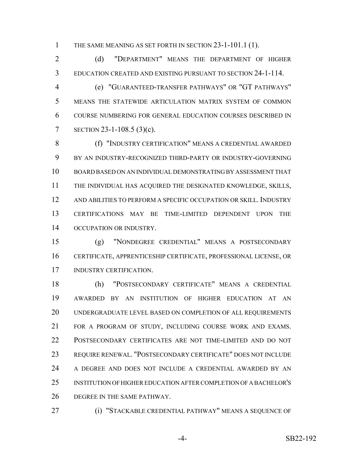THE SAME MEANING AS SET FORTH IN SECTION 23-1-101.1 (1).

 (d) "DEPARTMENT" MEANS THE DEPARTMENT OF HIGHER EDUCATION CREATED AND EXISTING PURSUANT TO SECTION 24-1-114.

 (e) "GUARANTEED-TRANSFER PATHWAYS" OR "GT PATHWAYS" MEANS THE STATEWIDE ARTICULATION MATRIX SYSTEM OF COMMON COURSE NUMBERING FOR GENERAL EDUCATION COURSES DESCRIBED IN SECTION 23-1-108.5 (3)(c).

 (f) "INDUSTRY CERTIFICATION" MEANS A CREDENTIAL AWARDED BY AN INDUSTRY-RECOGNIZED THIRD-PARTY OR INDUSTRY-GOVERNING BOARD BASED ON AN INDIVIDUAL DEMONSTRATING BY ASSESSMENT THAT THE INDIVIDUAL HAS ACQUIRED THE DESIGNATED KNOWLEDGE, SKILLS, AND ABILITIES TO PERFORM A SPECIFIC OCCUPATION OR SKILL. INDUSTRY CERTIFICATIONS MAY BE TIME-LIMITED DEPENDENT UPON THE OCCUPATION OR INDUSTRY.

 (g) "NONDEGREE CREDENTIAL" MEANS A POSTSECONDARY CERTIFICATE, APPRENTICESHIP CERTIFICATE, PROFESSIONAL LICENSE, OR INDUSTRY CERTIFICATION.

 (h) "POSTSECONDARY CERTIFICATE" MEANS A CREDENTIAL AWARDED BY AN INSTITUTION OF HIGHER EDUCATION AT AN UNDERGRADUATE LEVEL BASED ON COMPLETION OF ALL REQUIREMENTS FOR A PROGRAM OF STUDY, INCLUDING COURSE WORK AND EXAMS. POSTSECONDARY CERTIFICATES ARE NOT TIME-LIMITED AND DO NOT REQUIRE RENEWAL. "POSTSECONDARY CERTIFICATE" DOES NOT INCLUDE A DEGREE AND DOES NOT INCLUDE A CREDENTIAL AWARDED BY AN INSTITUTION OF HIGHER EDUCATION AFTER COMPLETION OF A BACHELOR'S DEGREE IN THE SAME PATHWAY.

(i) "STACKABLE CREDENTIAL PATHWAY" MEANS A SEQUENCE OF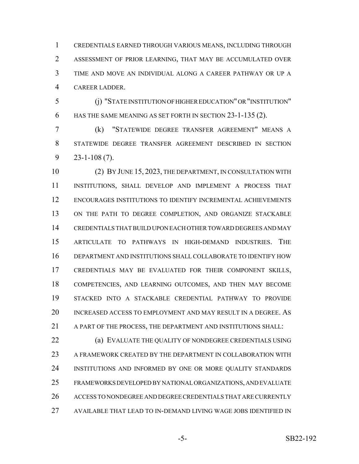CREDENTIALS EARNED THROUGH VARIOUS MEANS, INCLUDING THROUGH ASSESSMENT OF PRIOR LEARNING, THAT MAY BE ACCUMULATED OVER TIME AND MOVE AN INDIVIDUAL ALONG A CAREER PATHWAY OR UP A CAREER LADDER.

 (j) "STATE INSTITUTION OF HIGHER EDUCATION" OR "INSTITUTION" HAS THE SAME MEANING AS SET FORTH IN SECTION 23-1-135 (2).

 (k) "STATEWIDE DEGREE TRANSFER AGREEMENT" MEANS A STATEWIDE DEGREE TRANSFER AGREEMENT DESCRIBED IN SECTION 23-1-108 (7).

 (2) BY JUNE 15, 2023, THE DEPARTMENT, IN CONSULTATION WITH INSTITUTIONS, SHALL DEVELOP AND IMPLEMENT A PROCESS THAT ENCOURAGES INSTITUTIONS TO IDENTIFY INCREMENTAL ACHIEVEMENTS 13 ON THE PATH TO DEGREE COMPLETION, AND ORGANIZE STACKABLE CREDENTIALS THAT BUILD UPON EACH OTHER TOWARD DEGREES AND MAY ARTICULATE TO PATHWAYS IN HIGH-DEMAND INDUSTRIES. THE DEPARTMENT AND INSTITUTIONS SHALL COLLABORATE TO IDENTIFY HOW CREDENTIALS MAY BE EVALUATED FOR THEIR COMPONENT SKILLS, COMPETENCIES, AND LEARNING OUTCOMES, AND THEN MAY BECOME STACKED INTO A STACKABLE CREDENTIAL PATHWAY TO PROVIDE INCREASED ACCESS TO EMPLOYMENT AND MAY RESULT IN A DEGREE. AS A PART OF THE PROCESS, THE DEPARTMENT AND INSTITUTIONS SHALL:

 (a) EVALUATE THE QUALITY OF NONDEGREE CREDENTIALS USING A FRAMEWORK CREATED BY THE DEPARTMENT IN COLLABORATION WITH INSTITUTIONS AND INFORMED BY ONE OR MORE QUALITY STANDARDS FRAMEWORKS DEVELOPED BY NATIONAL ORGANIZATIONS, AND EVALUATE ACCESS TO NONDEGREE AND DEGREE CREDENTIALS THAT ARE CURRENTLY AVAILABLE THAT LEAD TO IN-DEMAND LIVING WAGE JOBS IDENTIFIED IN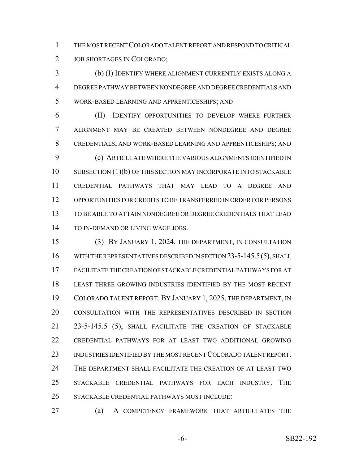THE MOST RECENT COLORADO TALENT REPORT AND RESPOND TO CRITICAL JOB SHORTAGES IN COLORADO;

 (b) (I) IDENTIFY WHERE ALIGNMENT CURRENTLY EXISTS ALONG A DEGREE PATHWAY BETWEEN NONDEGREE AND DEGREE CREDENTIALS AND WORK-BASED LEARNING AND APPRENTICESHIPS; AND

 (II) IDENTIFY OPPORTUNITIES TO DEVELOP WHERE FURTHER ALIGNMENT MAY BE CREATED BETWEEN NONDEGREE AND DEGREE CREDENTIALS, AND WORK-BASED LEARNING AND APPRENTICESHIPS; AND (c) ARTICULATE WHERE THE VARIOUS ALIGNMENTS IDENTIFIED IN 10 SUBSECTION (1)(b) OF THIS SECTION MAY INCORPORATE INTO STACKABLE CREDENTIAL PATHWAYS THAT MAY LEAD TO A DEGREE AND OPPORTUNITIES FOR CREDITS TO BE TRANSFERRED IN ORDER FOR PERSONS TO BE ABLE TO ATTAIN NONDEGREE OR DEGREE CREDENTIALS THAT LEAD 14 TO IN-DEMAND OR LIVING WAGE JOBS.

 (3) BY JANUARY 1, 2024, THE DEPARTMENT, IN CONSULTATION 16 WITH THE REPRESENTATIVES DESCRIBED IN SECTION 23-5-145.5(5), SHALL FACILITATE THE CREATION OF STACKABLE CREDENTIAL PATHWAYS FOR AT LEAST THREE GROWING INDUSTRIES IDENTIFIED BY THE MOST RECENT COLORADO TALENT REPORT. BY JANUARY 1, 2025, THE DEPARTMENT, IN CONSULTATION WITH THE REPRESENTATIVES DESCRIBED IN SECTION 21 23-5-145.5 (5), SHALL FACILITATE THE CREATION OF STACKABLE CREDENTIAL PATHWAYS FOR AT LEAST TWO ADDITIONAL GROWING INDUSTRIES IDENTIFIED BY THE MOST RECENT COLORADO TALENT REPORT. THE DEPARTMENT SHALL FACILITATE THE CREATION OF AT LEAST TWO STACKABLE CREDENTIAL PATHWAYS FOR EACH INDUSTRY. THE STACKABLE CREDENTIAL PATHWAYS MUST INCLUDE:

(a) A COMPETENCY FRAMEWORK THAT ARTICULATES THE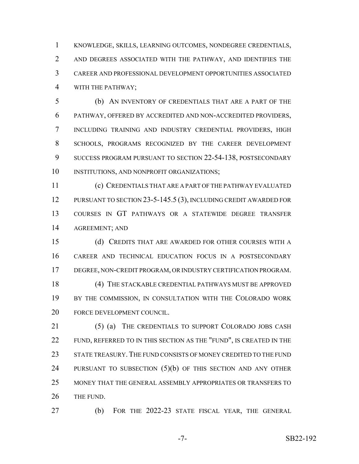KNOWLEDGE, SKILLS, LEARNING OUTCOMES, NONDEGREE CREDENTIALS, AND DEGREES ASSOCIATED WITH THE PATHWAY, AND IDENTIFIES THE CAREER AND PROFESSIONAL DEVELOPMENT OPPORTUNITIES ASSOCIATED WITH THE PATHWAY;

 (b) AN INVENTORY OF CREDENTIALS THAT ARE A PART OF THE PATHWAY, OFFERED BY ACCREDITED AND NON-ACCREDITED PROVIDERS, INCLUDING TRAINING AND INDUSTRY CREDENTIAL PROVIDERS, HIGH SCHOOLS, PROGRAMS RECOGNIZED BY THE CAREER DEVELOPMENT SUCCESS PROGRAM PURSUANT TO SECTION 22-54-138, POSTSECONDARY INSTITUTIONS, AND NONPROFIT ORGANIZATIONS;

 (c) CREDENTIALS THAT ARE A PART OF THE PATHWAY EVALUATED 12 PURSUANT TO SECTION 23-5-145.5 (3), INCLUDING CREDIT AWARDED FOR COURSES IN GT PATHWAYS OR A STATEWIDE DEGREE TRANSFER AGREEMENT; AND

 (d) CREDITS THAT ARE AWARDED FOR OTHER COURSES WITH A CAREER AND TECHNICAL EDUCATION FOCUS IN A POSTSECONDARY DEGREE, NON-CREDIT PROGRAM, OR INDUSTRY CERTIFICATION PROGRAM. 18 (4) THE STACKABLE CREDENTIAL PATHWAYS MUST BE APPROVED 19 BY THE COMMISSION, IN CONSULTATION WITH THE COLORADO WORK FORCE DEVELOPMENT COUNCIL.

 (5) (a) THE CREDENTIALS TO SUPPORT COLORADO JOBS CASH 22 FUND, REFERRED TO IN THIS SECTION AS THE "FUND", IS CREATED IN THE 23 STATE TREASURY. THE FUND CONSISTS OF MONEY CREDITED TO THE FUND 24 PURSUANT TO SUBSECTION (5)(b) OF THIS SECTION AND ANY OTHER MONEY THAT THE GENERAL ASSEMBLY APPROPRIATES OR TRANSFERS TO 26 THE FUND.

(b) FOR THE 2022-23 STATE FISCAL YEAR, THE GENERAL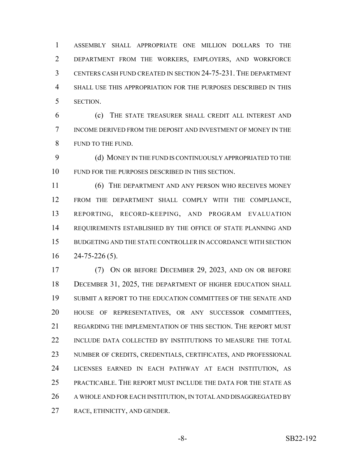ASSEMBLY SHALL APPROPRIATE ONE MILLION DOLLARS TO THE DEPARTMENT FROM THE WORKERS, EMPLOYERS, AND WORKFORCE CENTERS CASH FUND CREATED IN SECTION 24-75-231. THE DEPARTMENT SHALL USE THIS APPROPRIATION FOR THE PURPOSES DESCRIBED IN THIS SECTION.

 (c) THE STATE TREASURER SHALL CREDIT ALL INTEREST AND INCOME DERIVED FROM THE DEPOSIT AND INVESTMENT OF MONEY IN THE FUND TO THE FUND.

 (d) MONEY IN THE FUND IS CONTINUOUSLY APPROPRIATED TO THE FUND FOR THE PURPOSES DESCRIBED IN THIS SECTION.

 (6) THE DEPARTMENT AND ANY PERSON WHO RECEIVES MONEY FROM THE DEPARTMENT SHALL COMPLY WITH THE COMPLIANCE, REPORTING, RECORD-KEEPING, AND PROGRAM EVALUATION REQUIREMENTS ESTABLISHED BY THE OFFICE OF STATE PLANNING AND BUDGETING AND THE STATE CONTROLLER IN ACCORDANCE WITH SECTION  $16 \qquad 24 - 75 - 226 \, (5).$ 

 (7) ON OR BEFORE DECEMBER 29, 2023, AND ON OR BEFORE 18 DECEMBER 31, 2025, THE DEPARTMENT OF HIGHER EDUCATION SHALL SUBMIT A REPORT TO THE EDUCATION COMMITTEES OF THE SENATE AND HOUSE OF REPRESENTATIVES, OR ANY SUCCESSOR COMMITTEES, REGARDING THE IMPLEMENTATION OF THIS SECTION. THE REPORT MUST INCLUDE DATA COLLECTED BY INSTITUTIONS TO MEASURE THE TOTAL NUMBER OF CREDITS, CREDENTIALS, CERTIFICATES, AND PROFESSIONAL LICENSES EARNED IN EACH PATHWAY AT EACH INSTITUTION, AS PRACTICABLE. THE REPORT MUST INCLUDE THE DATA FOR THE STATE AS 26 A WHOLE AND FOR EACH INSTITUTION, IN TOTAL AND DISAGGREGATED BY RACE, ETHNICITY, AND GENDER.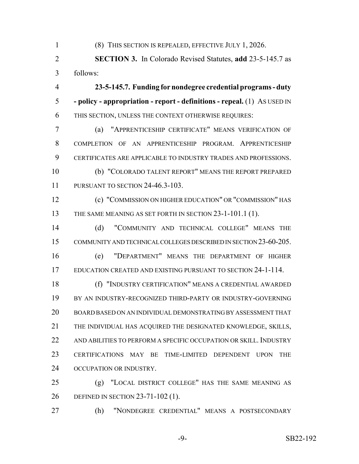(8) THIS SECTION IS REPEALED, EFFECTIVE JULY 1, 2026.

 **SECTION 3.** In Colorado Revised Statutes, **add** 23-5-145.7 as follows:

 **23-5-145.7. Funding for nondegree credential programs - duty - policy - appropriation - report - definitions - repeal.** (1) AS USED IN THIS SECTION, UNLESS THE CONTEXT OTHERWISE REQUIRES:

 (a) "APPRENTICESHIP CERTIFICATE" MEANS VERIFICATION OF COMPLETION OF AN APPRENTICESHIP PROGRAM. APPRENTICESHIP CERTIFICATES ARE APPLICABLE TO INDUSTRY TRADES AND PROFESSIONS. (b) "COLORADO TALENT REPORT" MEANS THE REPORT PREPARED

PURSUANT TO SECTION 24-46.3-103.

 (c) "COMMISSION ON HIGHER EDUCATION" OR "COMMISSION" HAS 13 THE SAME MEANING AS SET FORTH IN SECTION 23-1-101.1 (1).

 (d) "COMMUNITY AND TECHNICAL COLLEGE" MEANS THE COMMUNITY AND TECHNICAL COLLEGES DESCRIBED IN SECTION 23-60-205.

 (e) "DEPARTMENT" MEANS THE DEPARTMENT OF HIGHER EDUCATION CREATED AND EXISTING PURSUANT TO SECTION 24-1-114.

 (f) "INDUSTRY CERTIFICATION" MEANS A CREDENTIAL AWARDED BY AN INDUSTRY-RECOGNIZED THIRD-PARTY OR INDUSTRY-GOVERNING BOARD BASED ON AN INDIVIDUAL DEMONSTRATING BY ASSESSMENT THAT THE INDIVIDUAL HAS ACQUIRED THE DESIGNATED KNOWLEDGE, SKILLS, 22 AND ABILITIES TO PERFORM A SPECIFIC OCCUPATION OR SKILL. INDUSTRY CERTIFICATIONS MAY BE TIME-LIMITED DEPENDENT UPON THE 24 OCCUPATION OR INDUSTRY.

 (g) "LOCAL DISTRICT COLLEGE" HAS THE SAME MEANING AS DEFINED IN SECTION 23-71-102 (1).

(h) "NONDEGREE CREDENTIAL" MEANS A POSTSECONDARY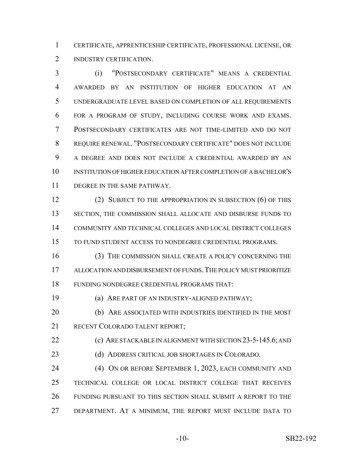CERTIFICATE, APPRENTICESHIP CERTIFICATE, PROFESSIONAL LICENSE, OR 2 INDUSTRY CERTIFICATION.

 (i) "POSTSECONDARY CERTIFICATE" MEANS A CREDENTIAL AWARDED BY AN INSTITUTION OF HIGHER EDUCATION AT AN UNDERGRADUATE LEVEL BASED ON COMPLETION OF ALL REQUIREMENTS FOR A PROGRAM OF STUDY, INCLUDING COURSE WORK AND EXAMS. POSTSECONDARY CERTIFICATES ARE NOT TIME-LIMITED AND DO NOT REQUIRE RENEWAL. "POSTSECONDARY CERTIFICATE" DOES NOT INCLUDE A DEGREE AND DOES NOT INCLUDE A CREDENTIAL AWARDED BY AN INSTITUTION OF HIGHER EDUCATION AFTER COMPLETION OF A BACHELOR'S DEGREE IN THE SAME PATHWAY.

12 (2) SUBJECT TO THE APPROPRIATION IN SUBSECTION (6) OF THIS 13 SECTION, THE COMMISSION SHALL ALLOCATE AND DISBURSE FUNDS TO COMMUNITY AND TECHNICAL COLLEGES AND LOCAL DISTRICT COLLEGES TO FUND STUDENT ACCESS TO NONDEGREE CREDENTIAL PROGRAMS.

 (3) THE COMMISSION SHALL CREATE A POLICY CONCERNING THE ALLOCATION AND DISBURSEMENT OF FUNDS.THE POLICY MUST PRIORITIZE FUNDING NONDEGREE CREDENTIAL PROGRAMS THAT:

(a) ARE PART OF AN INDUSTRY-ALIGNED PATHWAY;

 (b) ARE ASSOCIATED WITH INDUSTRIES IDENTIFIED IN THE MOST 21 RECENT COLORADO TALENT REPORT:

**(c) ARE STACKABLE IN ALIGNMENT WITH SECTION 23-5-145.6; AND** (d) ADDRESS CRITICAL JOB SHORTAGES IN COLORADO.

 (4) ON OR BEFORE SEPTEMBER 1, 2023, EACH COMMUNITY AND TECHNICAL COLLEGE OR LOCAL DISTRICT COLLEGE THAT RECEIVES FUNDING PURSUANT TO THIS SECTION SHALL SUBMIT A REPORT TO THE DEPARTMENT. AT A MINIMUM, THE REPORT MUST INCLUDE DATA TO